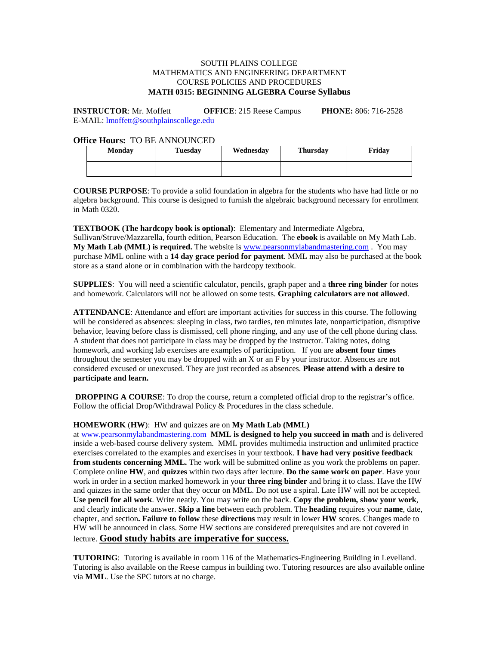# SOUTH PLAINS COLLEGE MATHEMATICS AND ENGINEERING DEPARTMENT COURSE POLICIES AND PROCEDURES **MATH 0315: BEGINNING ALGEBRA Course Syllabus**

**INSTRUCTOR**: Mr. Moffett **OFFICE**: 215 Reese Campus **PHONE:** 806: 716-2528 E-MAIL: [lmoffett@southplainscollege.edu](mailto:lmoffett@southplainscollege.edu) 

# **Office Hours:** TO BE ANNOUNCED

| <b>Monday</b> | <b>Tuesday</b> | Wednesday | <b>Thursday</b> | Friday |
|---------------|----------------|-----------|-----------------|--------|
|               |                |           |                 |        |

**COURSE PURPOSE**: To provide a solid foundation in algebra for the students who have had little or no algebra background. This course is designed to furnish the algebraic background necessary for enrollment in Math 0320.

**TEXTBOOK (The hardcopy book is optional)**: Elementary and Intermediate Algebra, Sullivan/Struve/Mazzarella, fourth edition, Pearson Education. The **ebook** is available on My Math Lab. **My Math Lab (MML) is required.** The website is [www.pearsonmylabandmastering.com](http://www.pearsonmylabandmastering.com/) . You may purchase MML online with a **14 day grace period for payment**. MML may also be purchased at the book store as a stand alone or in combination with the hardcopy textbook.

**SUPPLIES**: You will need a scientific calculator, pencils, graph paper and a **three ring binder** for notes and homework. Calculators will not be allowed on some tests. **Graphing calculators are not allowed**.

**ATTENDANCE**: Attendance and effort are important activities for success in this course. The following will be considered as absences: sleeping in class, two tardies, ten minutes late, nonparticipation, disruptive behavior, leaving before class is dismissed, cell phone ringing, and any use of the cell phone during class. A student that does not participate in class may be dropped by the instructor. Taking notes, doing homework, and working lab exercises are examples of participation. If you are **absent four times** throughout the semester you may be dropped with an X or an F by your instructor. Absences are not considered excused or unexcused. They are just recorded as absences. **Please attend with a desire to participate and learn.**

**DROPPING A COURSE:** To drop the course, return a completed official drop to the registrar's office. Follow the official Drop/Withdrawal Policy & Procedures in the class schedule.

#### **HOMEWORK** (**HW**): HW and quizzes are on **My Math Lab (MML)**

a[t www.pearsonmylabandmastering.com](http://www.pearsonmylabandmastering.com/) **MML is designed to help you succeed in math** and is delivered inside a web-based course delivery system. MML provides multimedia instruction and unlimited practice exercises correlated to the examples and exercises in your textbook. **I have had very positive feedback from students concerning MML.** The work will be submitted online as you work the problems on paper. Complete online **HW**, and **quizzes** within two days after lecture. **Do the same work on paper**. Have your work in order in a section marked homework in your **three ring binder** and bring it to class. Have the HW and quizzes in the same order that they occur on MML. Do not use a spiral. Late HW will not be accepted. **Use pencil for all work**. Write neatly. You may write on the back. **Copy the problem, show your work**, and clearly indicate the answer. **Skip a line** between each problem. The **heading** requires your **name**, date, chapter, and section**. Failure to follow** these **directions** may result in lower **HW** scores. Changes made to HW will be announced in class. Some HW sections are considered prerequisites and are not covered in lecture. **Good study habits are imperative for success.**

**TUTORING**: Tutoring is available in room 116 of the Mathematics-Engineering Building in Levelland. Tutoring is also available on the Reese campus in building two. Tutoring resources are also available online via **MML**. Use the SPC tutors at no charge.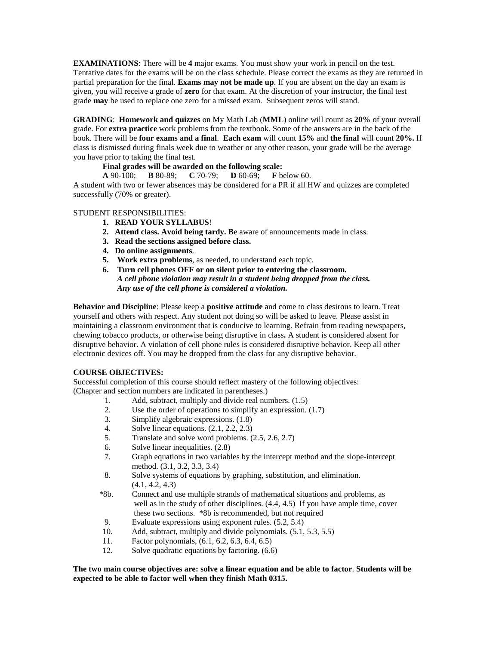**EXAMINATIONS**: There will be **4** major exams. You must show your work in pencil on the test. Tentative dates for the exams will be on the class schedule. Please correct the exams as they are returned in partial preparation for the final. **Exams may not be made up**. If you are absent on the day an exam is given, you will receive a grade of **zero** for that exam. At the discretion of your instructor, the final test grade **may** be used to replace one zero for a missed exam. Subsequent zeros will stand.

**GRADING**: **Homework and quizzes** on My Math Lab (**MML**) online will count as **20%** of your overall grade. For **extra practice** work problems from the textbook. Some of the answers are in the back of the book. There will be **four exams and a final**. **Each exam** will count **15%** and **the final** will count **20%.** If class is dismissed during finals week due to weather or any other reason, your grade will be the average you have prior to taking the final test.

# **Final grades will be awarded on the following scale:**

**A** 90-100; **B** 80-89; **C** 70-79; **D** 60-69; **F** below 60.

A student with two or fewer absences may be considered for a PR if all HW and quizzes are completed successfully (70% or greater).

## STUDENT RESPONSIBILITIES:

- **1. READ YOUR SYLLABUS**!
- **2. Attend class. Avoid being tardy. B**e aware of announcements made in class.
- **3. Read the sections assigned before class.**
- **4. Do online assignments**.
- **5. Work extra problems**, as needed, to understand each topic.
- **6. Turn cell phones OFF or on silent prior to entering the classroom.**  *A cell phone violation may result in a student being dropped from the class. Any use of the cell phone is considered a violation.*

**Behavior and Discipline**: Please keep a **positive attitude** and come to class desirous to learn. Treat yourself and others with respect. Any student not doing so will be asked to leave. Please assist in maintaining a classroom environment that is conducive to learning. Refrain from reading newspapers, chewing tobacco products, or otherwise being disruptive in class**.** A student is considered absent for disruptive behavior. A violation of cell phone rules is considered disruptive behavior. Keep all other electronic devices off. You may be dropped from the class for any disruptive behavior.

# **COURSE OBJECTIVES:**

Successful completion of this course should reflect mastery of the following objectives: (Chapter and section numbers are indicated in parentheses.)

- 1. Add, subtract, multiply and divide real numbers. (1.5)
- 2. Use the order of operations to simplify an expression. (1.7)
- 3. Simplify algebraic expressions. (1.8)
- 4. Solve linear equations.  $(2.1, 2.2, 2.3)$ <br>5. Translate and solve word problems.  $(2.1, 2.2, 2.3)$
- Translate and solve word problems.  $(2.5, 2.6, 2.7)$
- 6. Solve linear inequalities. (2.8)
- 7. Graph equations in two variables by the intercept method and the slope-intercept method. (3.1, 3.2, 3.3, 3.4)
- 8. Solve systems of equations by graphing, substitution, and elimination. (4.1, 4.2, 4.3)
- \*8b. Connect and use multiple strands of mathematical situations and problems, as well as in the study of other disciplines. (4.4, 4.5) If you have ample time, cover these two sections. \*8b is recommended, but not required
- 9. Evaluate expressions using exponent rules. (5.2, 5.4)
- 10. Add, subtract, multiply and divide polynomials. (5.1, 5.3, 5.5)
- 11. Factor polynomials, (6.1, 6.2, 6.3, 6.4, 6.5)
- 12. Solve quadratic equations by factoring. (6.6)

## **The two main course objectives are: solve a linear equation and be able to factor**. **Students will be expected to be able to factor well when they finish Math 0315.**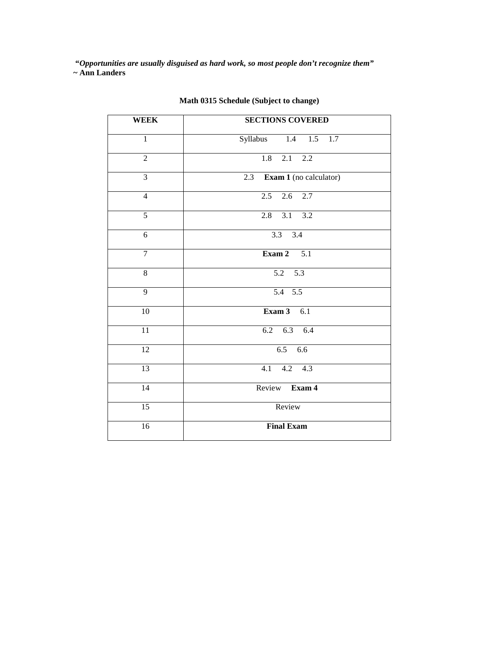**"***Opportunities are usually disguised as hard work, so most people don't recognize them"* **~ Ann Landers**

| <b>WEEK</b>     | <b>SECTIONS COVERED</b>       |  |  |
|-----------------|-------------------------------|--|--|
| $\mathbf{1}$    | Syllabus 1.4 1.5 1.7          |  |  |
| $\overline{2}$  | $\overline{1.8}$<br>$2.1$ 2.2 |  |  |
| $\overline{3}$  | 2.3 Exam 1 (no calculator)    |  |  |
| $\overline{4}$  | $2.5$ 2.6 2.7                 |  |  |
| $\overline{5}$  | $\overline{3.1}$ 3.2<br>2.8   |  |  |
| $\overline{6}$  | $3.3\quad 3.4$                |  |  |
| $\overline{7}$  | Exam $2$ 5.1                  |  |  |
| 8               | $\overline{5.2}$ 5.3          |  |  |
| 9               | $5.4$ 5.5                     |  |  |
| 10              | Exam $3$ 6.1                  |  |  |
| $\overline{11}$ | $6.2$ $6.3$ $6.4$             |  |  |
| 12              | $6.5$ $6.6$                   |  |  |
| 13              | $4.1$ $4.2$ $4.3$             |  |  |
| 14              | Review Exam 4                 |  |  |
| $\overline{15}$ | Review                        |  |  |
| $\overline{16}$ | <b>Final Exam</b>             |  |  |

# **Math 0315 Schedule (Subject to change)**